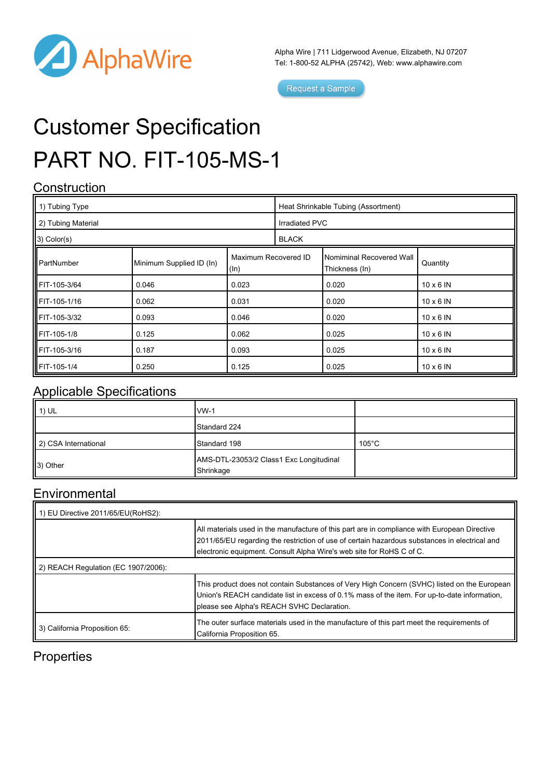

Alpha Wire | 711 Lidgerwood Avenue, Elizabeth, NJ 07207 Tel: 1-800-52 ALPHA (25742), Web: [www.alphawire.com](http://www.alphawire.com)

Request a Sample

# Customer Specification PART NO. FIT-105-MS-1

#### **Construction**

| 1) Tubing Type        |                          |                              | Heat Shrinkable Tubing (Assortment) |                                            |                  |
|-----------------------|--------------------------|------------------------------|-------------------------------------|--------------------------------------------|------------------|
| 2) Tubing Material    |                          |                              | Irradiated PVC                      |                                            |                  |
| $\vert$ 3) Color(s)   |                          |                              | <b>BLACK</b>                        |                                            |                  |
| II PartNumber         | Minimum Supplied ID (In) | Maximum Recovered ID<br>(ln) |                                     | Nomiminal Recovered Wall<br>Thickness (In) | Quantity         |
| <b>IIFIT-105-3/64</b> | 0.046                    | 0.023                        |                                     | 0.020                                      | $10 \times 6$ IN |
| <b>IIFIT-105-1/16</b> | 0.062                    | 0.031                        |                                     | 0.020                                      | $10 \times 6$ IN |
| IIFIT-105-3/32        | 0.093                    | 0.046                        |                                     | 0.020                                      | $10 \times 6$ IN |
| <b>IIFIT-105-1/8</b>  | 0.125                    | 0.062                        |                                     | 0.025                                      | $10 \times 6$ IN |
| <b>IIFIT-105-3/16</b> | 0.187                    | 0.093                        |                                     | 0.025                                      | $10 \times 6$ IN |
| <b>IFIT-105-1/4</b>   | 0.250                    | 0.125                        |                                     | 0.025                                      | $10 \times 6$ IN |

#### Applicable Specifications

| $\parallel$ 1) UL    | $IVM-1$                                              |                 |
|----------------------|------------------------------------------------------|-----------------|
|                      | Standard 224                                         |                 |
| 2) CSA International | Standard 198                                         | $105^{\circ}$ C |
| 3) Other             | AMS-DTL-23053/2 Class1 Exc Longitudinal<br>Shrinkage |                 |

#### **Environmental**

| 1) EU Directive 2011/65/EU(RoHS2):  |                                                                                                                                                                                                                                                                       |  |  |  |
|-------------------------------------|-----------------------------------------------------------------------------------------------------------------------------------------------------------------------------------------------------------------------------------------------------------------------|--|--|--|
|                                     | All materials used in the manufacture of this part are in compliance with European Directive<br>2011/65/EU regarding the restriction of use of certain hazardous substances in electrical and<br>electronic equipment. Consult Alpha Wire's web site for RoHS C of C. |  |  |  |
| 2) REACH Regulation (EC 1907/2006): |                                                                                                                                                                                                                                                                       |  |  |  |
|                                     | This product does not contain Substances of Very High Concern (SVHC) listed on the European<br>Union's REACH candidate list in excess of 0.1% mass of the item. For up-to-date information,<br>please see Alpha's REACH SVHC Declaration.                             |  |  |  |
| 3) California Proposition 65:       | The outer surface materials used in the manufacture of this part meet the requirements of<br>California Proposition 65.                                                                                                                                               |  |  |  |

### **Properties**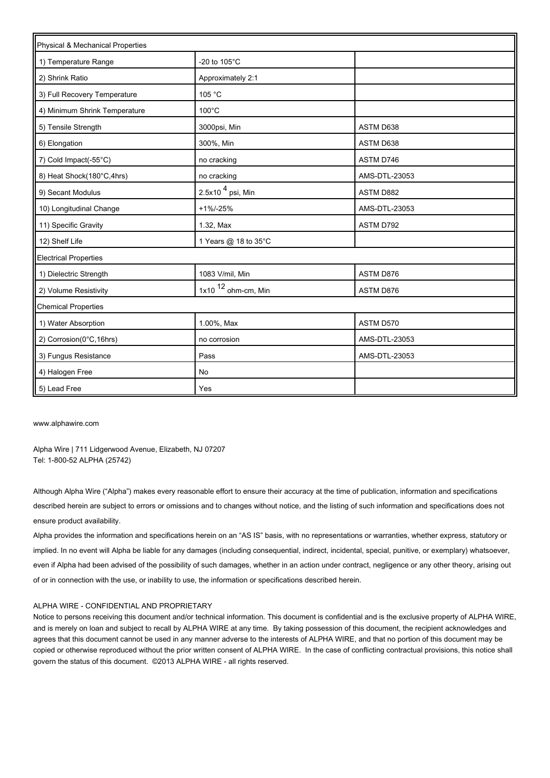| Physical & Mechanical Properties |                       |               |
|----------------------------------|-----------------------|---------------|
| 1) Temperature Range             | -20 to 105°C          |               |
| 2) Shrink Ratio                  | Approximately 2:1     |               |
| 3) Full Recovery Temperature     | 105 °C                |               |
| 4) Minimum Shrink Temperature    | $100^{\circ}$ C       |               |
| 5) Tensile Strength              | 3000psi, Min          | ASTM D638     |
| 6) Elongation                    | 300%, Min             | ASTM D638     |
| 7) Cold Impact(-55°C)            | no cracking           | ASTM D746     |
| 8) Heat Shock(180°C,4hrs)        | no cracking           | AMS-DTL-23053 |
| 9) Secant Modulus                | 2.5x10 $4$ psi, Min   | ASTM D882     |
| 10) Longitudinal Change          | $+1\% -25\%$          | AMS-DTL-23053 |
| 11) Specific Gravity             | 1.32, Max             | ASTM D792     |
| 12) Shelf Life                   | 1 Years @ 18 to 35°C  |               |
| <b>Electrical Properties</b>     |                       |               |
| 1) Dielectric Strength           | 1083 V/mil, Min       | ASTM D876     |
| 2) Volume Resistivity            | 1x10 $12$ ohm-cm, Min | ASTM D876     |
| <b>Chemical Properties</b>       |                       |               |
| 1) Water Absorption              | 1.00%, Max            | ASTM D570     |
| 2) Corrosion(0°C,16hrs)          | no corrosion          | AMS-DTL-23053 |
| 3) Fungus Resistance             | Pass                  | AMS-DTL-23053 |
| 4) Halogen Free                  | No                    |               |
| 5) Lead Free                     | Yes                   |               |

[www.alphawire.com](http://www.alphawire.com)

Alpha Wire | 711 Lidgerwood Avenue, Elizabeth, NJ 07207 Tel: 1-800-52 ALPHA (25742)

Although Alpha Wire ("Alpha") makes every reasonable effort to ensure their accuracy at the time of publication, information and specifications described herein are subject to errors or omissions and to changes without notice, and the listing of such information and specifications does not ensure product availability.

Alpha provides the information and specifications herein on an "AS IS" basis, with no representations or warranties, whether express, statutory or implied. In no event will Alpha be liable for any damages (including consequential, indirect, incidental, special, punitive, or exemplary) whatsoever, even if Alpha had been advised of the possibility of such damages, whether in an action under contract, negligence or any other theory, arising out of or in connection with the use, or inability to use, the information or specifications described herein.

#### ALPHA WIRE - CONFIDENTIAL AND PROPRIETARY

Notice to persons receiving this document and/or technical information. This document is confidential and is the exclusive property of ALPHA WIRE, and is merely on loan and subject to recall by ALPHA WIRE at any time. By taking possession of this document, the recipient acknowledges and agrees that this document cannot be used in any manner adverse to the interests of ALPHA WIRE, and that no portion of this document may be copied or otherwise reproduced without the prior written consent of ALPHA WIRE. In the case of conflicting contractual provisions, this notice shall govern the status of this document. ©2013 ALPHA WIRE - all rights reserved.